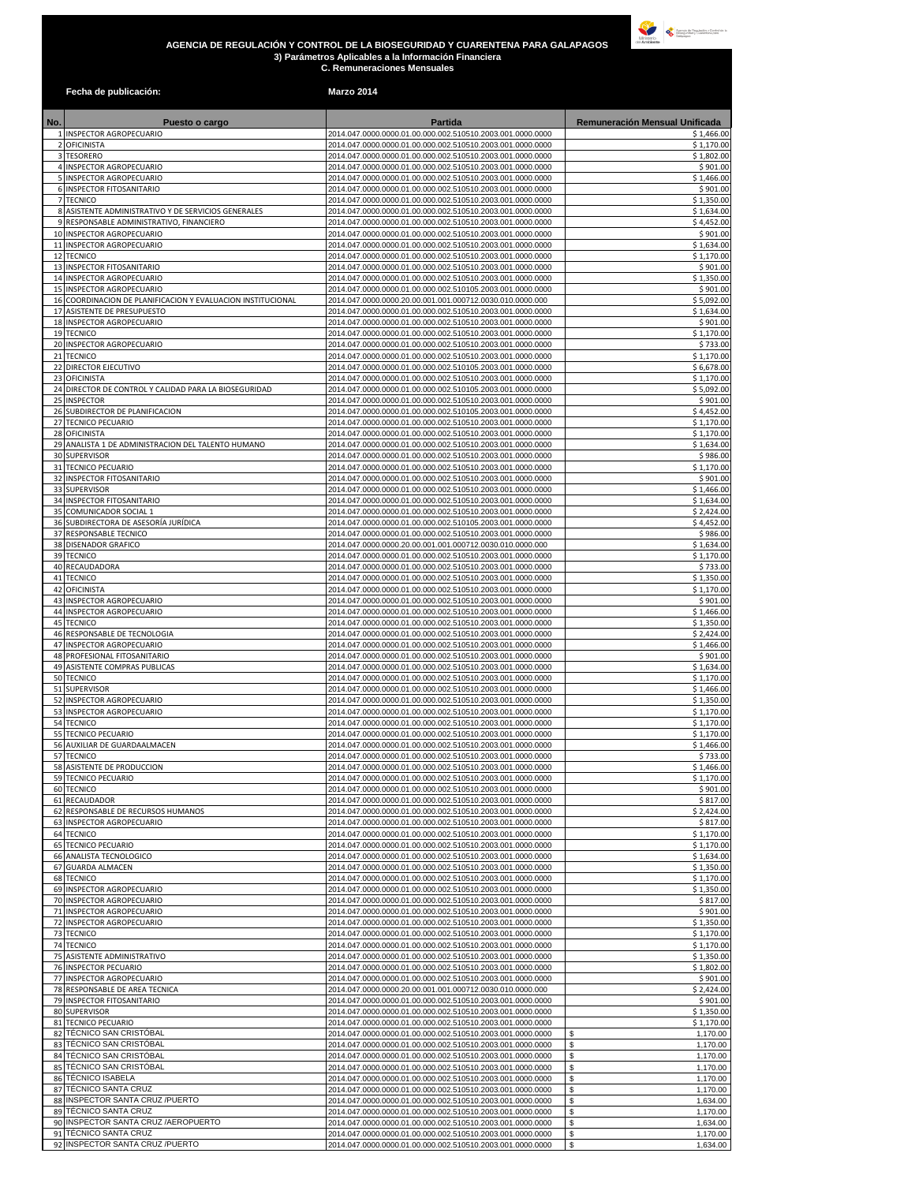## **AGENCIA DE REGULACIÓN Y CONTROL DE LA BIOSEGURIDAD Y CUARENTENA PARA GALAPAGOS 3) Parámetros Aplicables a la Información Financiera C. Remuneraciones Mensuales**



|     | Fecha de publicación:                                            | <b>Marzo 2014</b>                                                                                                        |                                  |
|-----|------------------------------------------------------------------|--------------------------------------------------------------------------------------------------------------------------|----------------------------------|
| No. | Puesto o cargo                                                   | <b>Partida</b>                                                                                                           | Remuneración Mensual Unificada   |
|     | 1 INSPECTOR AGROPECUARIO                                         | 2014.047.0000.0000.01.00.000.002.510510.2003.001.0000.0000                                                               | \$1,466.00                       |
|     | 2 OFICINISTA                                                     | 2014.047.0000.0000.01.00.000.002.510510.2003.001.0000.0000                                                               | \$1,170.00                       |
|     | 3 TESORERO<br>4 INSPECTOR AGROPECUARIO                           | 2014.047.0000.0000.01.00.000.002.510510.2003.001.0000.0000<br>2014.047.0000.0000.01.00.000.002.510510.2003.001.0000.0000 | \$1,802.00<br>\$901.00           |
|     | 5 INSPECTOR AGROPECUARIO                                         | 2014.047.0000.0000.01.00.000.002.510510.2003.001.0000.0000                                                               | \$1,466.00                       |
|     | 6 INSPECTOR FITOSANITARIO                                        | 2014.047.0000.0000.01.00.000.002.510510.2003.001.0000.0000                                                               | \$901.00                         |
|     | 7 TECNICO<br>8 ASISTENTE ADMINISTRATIVO Y DE SERVICIOS GENERALES | 2014.047.0000.0000.01.00.000.002.510510.2003.001.0000.0000<br>2014.047.0000.0000.01.00.000.002.510510.2003.001.0000.0000 | \$1,350.00<br>\$1,634.00         |
|     | 9 RESPONSABLE ADMINISTRATIVO, FINANCIERO                         | 2014.047.0000.0000.01.00.000.002.510510.2003.001.0000.0000                                                               | \$4,452.00                       |
|     | 10 INSPECTOR AGROPECUARIO                                        | 2014.047.0000.0000.01.00.000.002.510510.2003.001.0000.0000                                                               | \$901.00                         |
|     | 11 INSPECTOR AGROPECUARIO                                        | 2014.047.0000.0000.01.00.000.002.510510.2003.001.0000.0000                                                               | \$1,634.00                       |
|     | 12 TECNICO<br>13 INSPECTOR FITOSANITARIO                         | 2014.047.0000.0000.01.00.000.002.510510.2003.001.0000.0000<br>2014.047.0000.0000.01.00.000.002.510510.2003.001.0000.0000 | \$1,170.00<br>\$901.00           |
|     | 14 INSPECTOR AGROPECUARIO                                        | 2014.047.0000.0000.01.00.000.002.510510.2003.001.0000.0000                                                               | \$1,350.00                       |
|     | 15 INSPECTOR AGROPECUARIO                                        | 2014.047.0000.0000.01.00.000.002.510105.2003.001.0000.0000                                                               | \$901.00                         |
|     | 16 COORDINACION DE PLANIFICACION Y EVALUACION INSTITUCIONAL      | 2014.047.0000.0000.20.00.001.001.000712.0030.010.0000.000                                                                | \$5,092.00                       |
|     | 17 ASISTENTE DE PRESUPUESTO<br>18 INSPECTOR AGROPECUARIO         | 2014.047.0000.0000.01.00.000.002.510510.2003.001.0000.0000<br>2014.047.0000.0000.01.00.000.002.510510.2003.001.0000.0000 | \$1,634.00<br>\$901.00           |
|     | 19 TECNICO                                                       | 2014.047.0000.0000.01.00.000.002.510510.2003.001.0000.0000                                                               | \$1,170.00                       |
|     | 20 INSPECTOR AGROPECUARIO                                        | 2014.047.0000.0000.01.00.000.002.510510.2003.001.0000.0000                                                               | \$733.00                         |
|     | 21 TECNICO<br>22 DIRECTOR EJECUTIVO                              | 2014.047.0000.0000.01.00.000.002.510510.2003.001.0000.0000                                                               | \$1,170.00                       |
|     | 23 OFICINISTA                                                    | 2014.047.0000.0000.01.00.000.002.510105.2003.001.0000.0000<br>2014.047.0000.0000.01.00.000.002.510510.2003.001.0000.0000 | \$6,678.00<br>\$1,170.00         |
|     | 24 DIRECTOR DE CONTROL Y CALIDAD PARA LA BIOSEGURIDAD            | 2014.047.0000.0000.01.00.000.002.510105.2003.001.0000.0000                                                               | \$5,092.00                       |
|     | 25 INSPECTOR                                                     | 2014.047.0000.0000.01.00.000.002.510510.2003.001.0000.0000                                                               | \$901.00                         |
|     | 26 SUBDIRECTOR DE PLANIFICACION<br>27 TECNICO PECUARIO           | 2014.047.0000.0000.01.00.000.002.510105.2003.001.0000.0000<br>2014.047.0000.0000.01.00.000.002.510510.2003.001.0000.0000 | \$4,452.00<br>\$1,170.00         |
|     | 28 OFICINISTA                                                    | 2014.047.0000.0000.01.00.000.002.510510.2003.001.0000.0000                                                               | \$1,170.00                       |
|     | 29 ANALISTA 1 DE ADMINISTRACION DEL TALENTO HUMANO               | 2014.047.0000.0000.01.00.000.002.510510.2003.001.0000.0000                                                               | \$1,634.00                       |
|     | 30 SUPERVISOR                                                    | 2014.047.0000.0000.01.00.000.002.510510.2003.001.0000.0000                                                               | \$986.00                         |
|     | 31 TECNICO PECUARIO<br>32 INSPECTOR FITOSANITARIO                | 2014.047.0000.0000.01.00.000.002.510510.2003.001.0000.0000<br>2014.047.0000.0000.01.00.000.002.510510.2003.001.0000.0000 | \$1,170.00<br>\$901.00           |
|     | 33 SUPERVISOR                                                    | 2014.047.0000.0000.01.00.000.002.510510.2003.001.0000.0000                                                               | \$1,466.00                       |
|     | 34 INSPECTOR FITOSANITARIO                                       | 2014.047.0000.0000.01.00.000.002.510510.2003.001.0000.0000                                                               | \$1,634.00                       |
|     | 35 COMUNICADOR SOCIAL 1                                          | 2014.047.0000.0000.01.00.000.002.510510.2003.001.0000.0000                                                               | \$2,424.00                       |
|     | 36 SUBDIRECTORA DE ASESORÍA JURÍDICA<br>37 RESPONSABLE TECNICO   | 2014.047.0000.0000.01.00.000.002.510105.2003.001.0000.0000<br>2014.047.0000.0000.01.00.000.002.510510.2003.001.0000.0000 | \$4,452.00<br>\$986.00           |
|     | 38 DISENADOR GRAFICO                                             | 2014.047.0000.0000.20.00.001.001.000712.0030.010.0000.000                                                                | \$1,634.00                       |
|     | 39 TECNICO                                                       | 2014.047.0000.0000.01.00.000.002.510510.2003.001.0000.0000                                                               | \$1,170.00                       |
|     | 40 RECAUDADORA                                                   | 2014.047.0000.0000.01.00.000.002.510510.2003.001.0000.0000                                                               | \$733.00                         |
|     | 41 TECNICO<br>42 OFICINISTA                                      | 2014.047.0000.0000.01.00.000.002.510510.2003.001.0000.0000<br>2014.047.0000.0000.01.00.000.002.510510.2003.001.0000.0000 | \$1,350.00<br>\$1,170.00         |
|     | 43 INSPECTOR AGROPECUARIO                                        | 2014.047.0000.0000.01.00.000.002.510510.2003.001.0000.0000                                                               | \$901.00                         |
|     | 44 INSPECTOR AGROPECUARIO                                        | 2014.047.0000.0000.01.00.000.002.510510.2003.001.0000.0000                                                               | \$1,466.00                       |
|     | <b>45 TECNICO</b><br>46 RESPONSABLE DE TECNOLOGIA                | 2014.047.0000.0000.01.00.000.002.510510.2003.001.0000.0000<br>2014.047.0000.0000.01.00.000.002.510510.2003.001.0000.0000 | \$1,350.00<br>\$2,424.00         |
|     | 47 INSPECTOR AGROPECUARIO                                        | 2014.047.0000.0000.01.00.000.002.510510.2003.001.0000.0000                                                               | \$1,466.00                       |
|     | 48 PROFESIONAL FITOSANITARIO                                     | 2014.047.0000.0000.01.00.000.002.510510.2003.001.0000.0000                                                               | \$901.00                         |
|     | 49 ASISTENTE COMPRAS PUBLICAS                                    | 2014.047.0000.0000.01.00.000.002.510510.2003.001.0000.0000                                                               | \$1,634.00                       |
|     | 50 TECNICO<br>51 SUPERVISOR                                      | 2014.047.0000.0000.01.00.000.002.510510.2003.001.0000.0000<br>2014.047.0000.0000.01.00.000.002.510510.2003.001.0000.0000 | \$1,170.00<br>\$1,466.00         |
|     | 52 INSPECTOR AGROPECUARIO                                        | 2014.047.0000.0000.01.00.000.002.510510.2003.001.0000.0000                                                               | \$1,350.00                       |
|     | 53 INSPECTOR AGROPECUARIO                                        | 2014.047.0000.0000.01.00.000.002.510510.2003.001.0000.0000                                                               | \$1,170.00                       |
|     | 54 TECNICO                                                       | 2014.047.0000.0000.01.00.000.002.510510.2003.001.0000.0000                                                               | \$1,170.00                       |
|     | 55 TECNICO PECUARIO<br>56 AUXILIAR DE GUARDAALMACEN              | 2014.047.0000.0000.01.00.000.002.510510.2003.001.0000.0000<br>2014.047.0000.0000.01.00.000.002.510510.2003.001.0000.0000 | \$1,170.00<br>\$1,466.00         |
|     | 57 TECNICO                                                       | 2014.047.0000.0000.01.00.000.002.510510.2003.001.0000.0000                                                               | \$733.00                         |
|     | 58 ASISTENTE DE PRODUCCION                                       | 2014.047.0000.0000.01.00.000.002.510510.2003.001.0000.0000                                                               | \$1,466.00                       |
|     | 59 TECNICO PECUARIO<br>60 TECNICO                                | 2014.047.0000.0000.01.00.000.002.510510.2003.001.0000.0000<br>2014.047.0000.0000.01.00.000.002.510510.2003.001.0000.0000 | \$1,170.00<br>\$901.00           |
|     | 61 RECAUDADOR                                                    | 2014.047.0000.0000.01.00.000.002.510510.2003.001.0000.0000                                                               | \$817.00                         |
|     | 62 RESPONSABLE DE RECURSOS HUMANOS                               | 2014.047.0000.0000.01.00.000.002.510510.2003.001.0000.0000                                                               | \$2,424.00                       |
|     | 63 INSPECTOR AGROPECUARIO                                        | 2014.047.0000.0000.01.00.000.002.510510.2003.001.0000.0000                                                               | \$817.00                         |
|     | 64 TECNICO<br><b>65 TECNICO PECUARIO</b>                         | 2014.047.0000.0000.01.00.000.002.510510.2003.001.0000.0000<br>2014.047.0000.0000.01.00.000.002.510510.2003.001.0000.0000 | \$1,170.00<br>\$1,170.00         |
|     | 66 ANALISTA TECNOLOGICO                                          | 2014.047.0000.0000.01.00.000.002.510510.2003.001.0000.0000                                                               | \$1,634.00                       |
|     | 67 GUARDA ALMACEN                                                | 2014.047.0000.0000.01.00.000.002.510510.2003.001.0000.0000                                                               | \$1,350.00                       |
|     | <b>68 TECNICO</b>                                                | 2014.047.0000.0000.01.00.000.002.510510.2003.001.0000.0000                                                               | \$1,170.00                       |
|     | 69 INSPECTOR AGROPECUARIO<br>70 INSPECTOR AGROPECUARIO           | 2014.047.0000.0000.01.00.000.002.510510.2003.001.0000.0000<br>2014.047.0000.0000.01.00.000.002.510510.2003.001.0000.0000 | \$1,350.00<br>\$817.00           |
|     | 71 INSPECTOR AGROPECUARIO                                        | 2014.047.0000.0000.01.00.000.002.510510.2003.001.0000.0000                                                               | \$901.00                         |
|     | 72 INSPECTOR AGROPECUARIO                                        | 2014.047.0000.0000.01.00.000.002.510510.2003.001.0000.0000                                                               | \$1,350.00                       |
|     | 73 TECNICO                                                       | 2014.047.0000.0000.01.00.000.002.510510.2003.001.0000.0000                                                               | \$1,170.00                       |
| 75  | 74 TECNICO<br>ASISTENTE ADMINISTRATIVO                           | 2014.047.0000.0000.01.00.000.002.510510.2003.001.0000.0000<br>2014.047.0000.0000.01.00.000.002.510510.2003.001.0000.0000 | \$1,170.00<br>\$1,350.00         |
|     | 76 INSPECTOR PECUARIO                                            | 2014.047.0000.0000.01.00.000.002.510510.2003.001.0000.0000                                                               | \$1,802.00                       |
|     | 77 INSPECTOR AGROPECUARIO                                        | 2014.047.0000.0000.01.00.000.002.510510.2003.001.0000.0000                                                               | \$901.00                         |
|     | 78 RESPONSABLE DE AREA TECNICA<br>79 INSPECTOR FITOSANITARIO     | 2014.047.0000.0000.20.00.001.001.000712.0030.010.0000.000<br>2014.047.0000.0000.01.00.000.002.510510.2003.001.0000.0000  | \$2,424.00<br>\$901.00           |
|     | 80 SUPERVISOR                                                    | 2014.047.0000.0000.01.00.000.002.510510.2003.001.0000.0000                                                               | \$1,350.00                       |
|     | 81 TECNICO PECUARIO                                              | 2014.047.0000.0000.01.00.000.002.510510.2003.001.0000.0000                                                               | \$1,170.00                       |
|     | 82 TÉCNICO SAN CRISTÓBAL                                         | 2014.047.0000.0000.01.00.000.002.510510.2003.001.0000.0000                                                               | \$<br>1,170.00                   |
|     | 83 TÉCNICO SAN CRISTÓBAL<br>84 TÉCNICO SAN CRISTÓBAL             | 2014.047.0000.0000.01.00.000.002.510510.2003.001.0000.0000<br>2014.047.0000.0000.01.00.000.002.510510.2003.001.0000.0000 | \$<br>1,170.00<br>\$<br>1,170.00 |
|     | 85 TÉCNICO SAN CRISTÓBAL                                         | 2014.047.0000.0000.01.00.000.002.510510.2003.001.0000.0000                                                               | $\mathfrak{s}$<br>1,170.00       |
|     | 86 TÉCNICO ISABELA                                               | 2014.047.0000.0000.01.00.000.002.510510.2003.001.0000.0000                                                               | \$<br>1,170.00                   |
|     | 87 TÉCNICO SANTA CRUZ                                            | 2014.047.0000.0000.01.00.000.002.510510.2003.001.0000.0000                                                               | \$<br>1,170.00                   |
|     | 88 INSPECTOR SANTA CRUZ /PUERTO<br>89 TÉCNICO SANTA CRUZ         | 2014.047.0000.0000.01.00.000.002.510510.2003.001.0000.0000<br>2014.047.0000.0000.01.00.000.002.510510.2003.001.0000.0000 | \$<br>1,634.00<br>\$<br>1,170.00 |
|     | 90 INSPECTOR SANTA CRUZ / AEROPUERTO                             | 2014.047.0000.0000.01.00.000.002.510510.2003.001.0000.0000                                                               | \$<br>1,634.00                   |
|     | 91 TECNICO SANTA CRUZ                                            | 2014.047.0000.0000.01.00.000.002.510510.2003.001.0000.0000                                                               | \$<br>1,170.00                   |
|     | 92 INSPECTOR SANTA CRUZ /PUERTO                                  | 2014.047.0000.0000.01.00.000.002.510510.2003.001.0000.0000                                                               | \$<br>1,634.00                   |